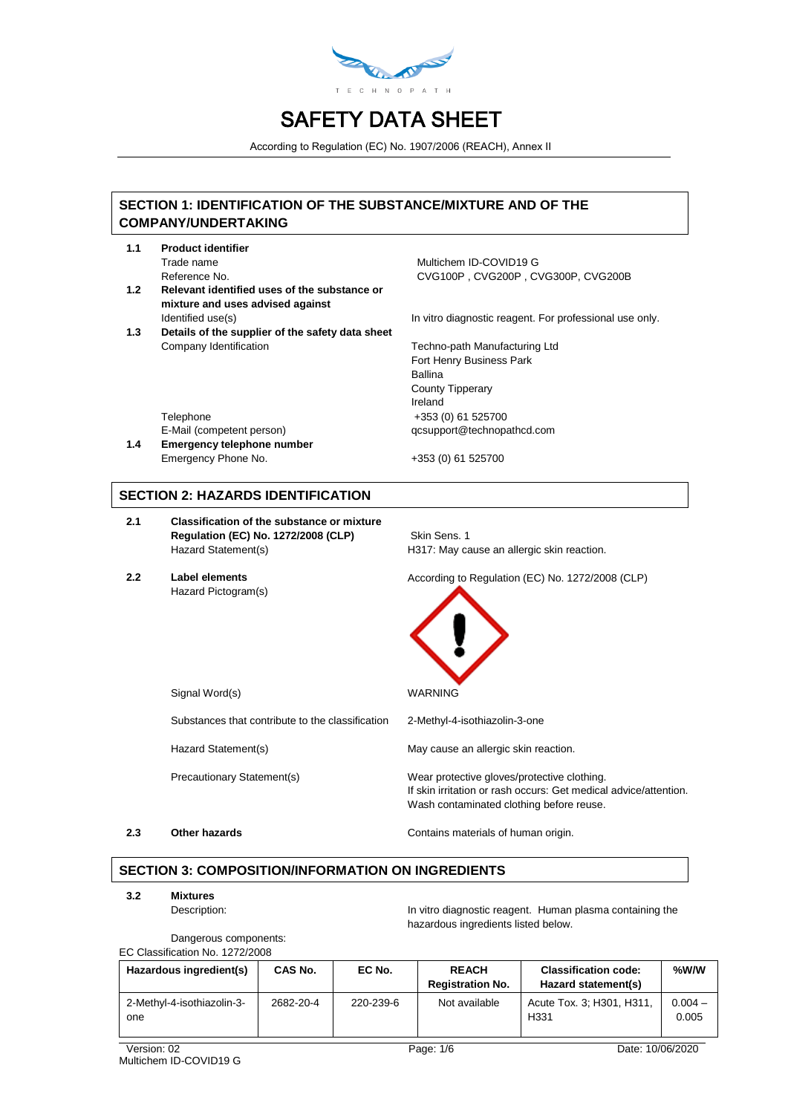

According to Regulation (EC) No. 1907/2006 (REACH), Annex II

## **SECTION 1: IDENTIFICATION OF THE SUBSTANCE/MIXTURE AND OF THE COMPANY/UNDERTAKING**

- **1.1 Product identifier**
- **1.2 Relevant identified uses of the substance or mixture and uses advised against**
- **1.3 Details of the supplier of the safety data sheet** Company Identification **Techno-path Manufacturing Ltd**

Trade name Multichem ID-COVID19 G Reference No. CVG100P , CVG200P , CVG300P, CVG200B

Identified use(s) In vitro diagnostic reagent. For professional use only.

Fort Henry Business Park Ballina County Tipperary Ireland Telephone +353 (0) 61 525700 E-Mail (competent person) qcsupport@technopathcd.com

Emergency Phone No. +353 (0) 61 525700

## **SECTION 2: HAZARDS IDENTIFICATION**

**1.4 Emergency telephone number**

- **2.1 Classification of the substance or mixture Regulation (EC) No. 1272/2008 (CLP)** Skin Sens. 1 Hazard Statement(s) H317: May cause an allergic skin reaction.
- Hazard Pictogram(s)

**2.2 Label elements** According to Regulation (EC) No. 1272/2008 (CLP)



Signal Word(s) New York 1989 WARNING

Substances that contribute to the classification 2-Methyl-4-isothiazolin-3-one

Hazard Statement(s) May cause an allergic skin reaction.

Precautionary Statement(s) Wear protective gloves/protective clothing.

**2.3 Other hazards Contains materials of human origin.** 

Wash contaminated clothing before reuse.

# **SECTION 3: COMPOSITION/INFORMATION ON INGREDIENTS**

**3.2 Mixtures**

Description: In vitro diagnostic reagent. Human plasma containing the hazardous ingredients listed below.

If skin irritation or rash occurs: Get medical advice/attention.

Dangerous components: EC Classification No. 1272/2008

| Hazardous ingredient(s)           | CAS No.   | EC No.    | <b>REACH</b><br><b>Registration No.</b> | <b>Classification code:</b><br>Hazard statement(s) | %W/W               |
|-----------------------------------|-----------|-----------|-----------------------------------------|----------------------------------------------------|--------------------|
| 2-Methyl-4-isothiazolin-3-<br>one | 2682-20-4 | 220-239-6 | Not available                           | Acute Tox. 3; H301, H311,<br>H331                  | $0.004 -$<br>0.005 |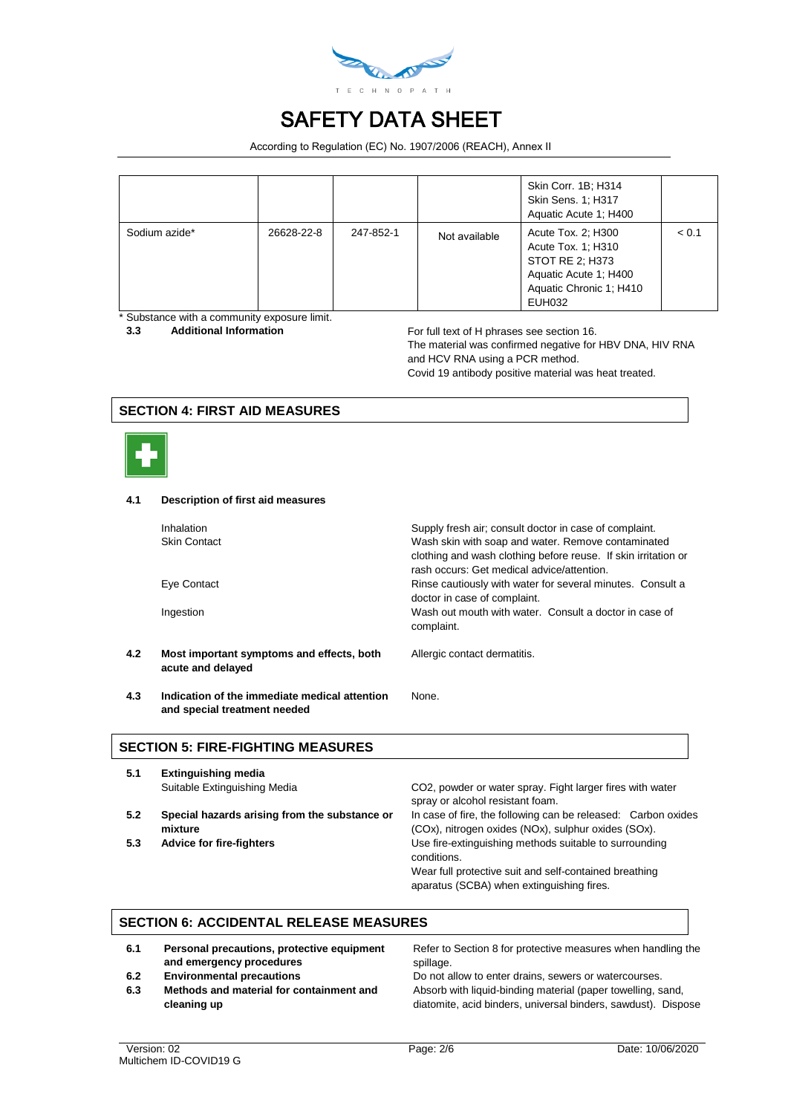

According to Regulation (EC) No. 1907/2006 (REACH), Annex II

|               |            |           |               | Skin Corr. 1B; H314<br>Skin Sens. 1; H317<br>Aquatic Acute 1: H400                                                        |       |
|---------------|------------|-----------|---------------|---------------------------------------------------------------------------------------------------------------------------|-------|
| Sodium azide* | 26628-22-8 | 247-852-1 | Not available | Acute Tox. 2; H300<br>Acute Tox. 1; H310<br>STOT RE 2; H373<br>Aquatic Acute 1: H400<br>Aquatic Chronic 1: H410<br>EUH032 | < 0.1 |

\* Substance with a community exposure limit.

**3.3 Additional Information For full text of H phrases see section 16.** The material was confirmed negative for HBV DNA, HIV RNA and HCV RNA using a PCR method. Covid 19 antibody positive material was heat treated.

## **SECTION 4: FIRST AID MEASURES**



#### **4.1 Description of first aid measures**

|     | Inhalation<br><b>Skin Contact</b>                                             | Supply fresh air; consult doctor in case of complaint.<br>Wash skin with soap and water. Remove contaminated<br>clothing and wash clothing before reuse. If skin irritation or<br>rash occurs: Get medical advice/attention. |
|-----|-------------------------------------------------------------------------------|------------------------------------------------------------------------------------------------------------------------------------------------------------------------------------------------------------------------------|
|     | Eye Contact                                                                   | Rinse cautiously with water for several minutes. Consult a<br>doctor in case of complaint.                                                                                                                                   |
|     | Ingestion                                                                     | Wash out mouth with water. Consult a doctor in case of<br>complaint.                                                                                                                                                         |
| 4.2 | Most important symptoms and effects, both<br>acute and delayed                | Allergic contact dermatitis.                                                                                                                                                                                                 |
| 4.3 | Indication of the immediate medical attention<br>and special treatment needed | None.                                                                                                                                                                                                                        |

### **SECTION 5: FIRE-FIGHTING MEASURES**

- **5.1 Extinguishing media**
- **5.2 Special hazards arising from the substance or mixture**
- 

Suitable Extinguishing Media CO2, powder or water spray. Fight larger fires with water spray or alcohol resistant foam. In case of fire, the following can be released: Carbon oxides (COx), nitrogen oxides (NOx), sulphur oxides (SOx). **5.3 Advice for fire-fighters** Use fire-extinguishing methods suitable to surrounding

> conditions. Wear full protective suit and self-contained breathing aparatus (SCBA) when extinguishing fires.

## **SECTION 6: ACCIDENTAL RELEASE MEASURES**

- **6.1 Personal precautions, protective equipment and emergency procedures**
- **6.2 Environmental precautions Do not allow to enter drains, sewers or watercourses.**
- **6.3 Methods and material for containment and cleaning up**

Refer to Section 8 for protective measures when handling the spillage.

Absorb with liquid-binding material (paper towelling, sand, diatomite, acid binders, universal binders, sawdust). Dispose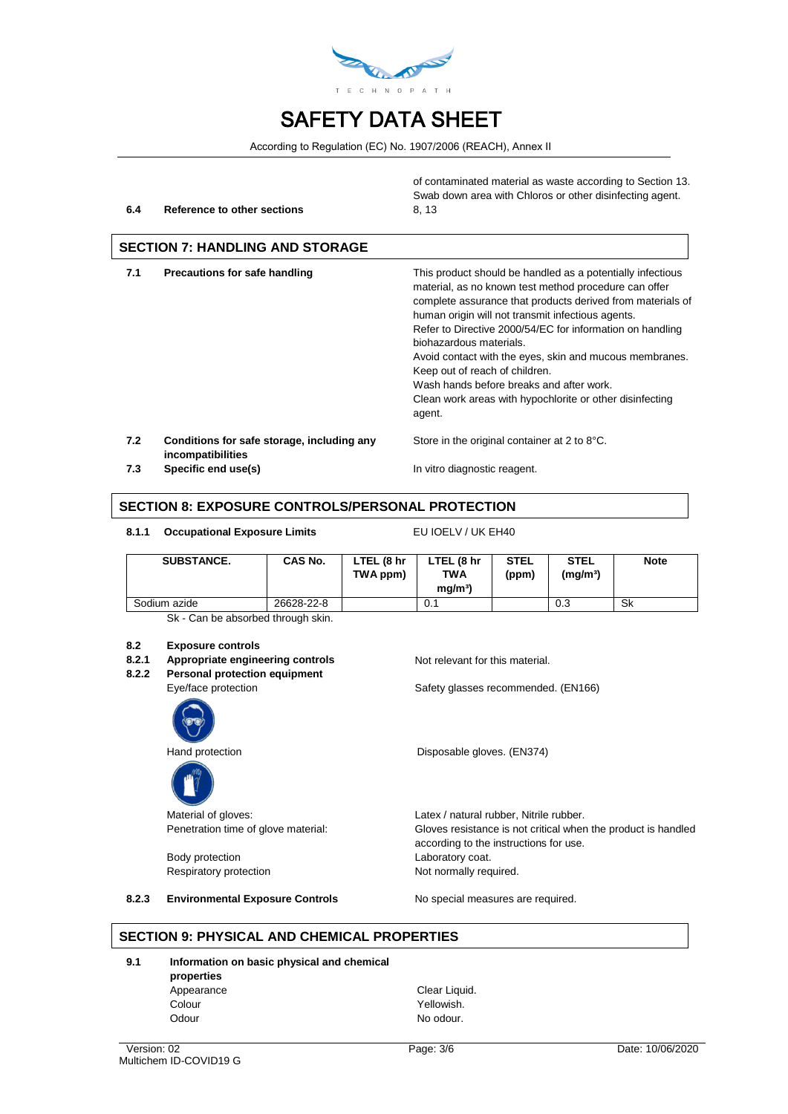

According to Regulation (EC) No. 1907/2006 (REACH), Annex II

#### **6.4 Reference to other sections** 8, 13

of contaminated material as waste according to Section 13. Swab down area with Chloros or other disinfecting agent.

## **SECTION 7: HANDLING AND STORAGE**

| 7.1 | <b>Precautions for safe handling</b>                            | This product should be handled as a potentially infectious<br>material, as no known test method procedure can offer<br>complete assurance that products derived from materials of<br>human origin will not transmit infectious agents.<br>Refer to Directive 2000/54/EC for information on handling<br>biohazardous materials.<br>Avoid contact with the eyes, skin and mucous membranes.<br>Keep out of reach of children.<br>Wash hands before breaks and after work.<br>Clean work areas with hypochlorite or other disinfecting<br>agent. |
|-----|-----------------------------------------------------------------|-----------------------------------------------------------------------------------------------------------------------------------------------------------------------------------------------------------------------------------------------------------------------------------------------------------------------------------------------------------------------------------------------------------------------------------------------------------------------------------------------------------------------------------------------|
| 7.2 | Conditions for safe storage, including any<br>incompatibilities | Store in the original container at 2 to 8°C.                                                                                                                                                                                                                                                                                                                                                                                                                                                                                                  |
|     |                                                                 |                                                                                                                                                                                                                                                                                                                                                                                                                                                                                                                                               |

**7.3 Specific end use(s) In vitro diagnostic reagent.** 

**SECTION 8: EXPOSURE CONTROLS/PERSONAL PROTECTION**

8.1.1 Occupational Exposure Limits EU IOELV / UK EH40

| <b>SUBSTANCE.</b> | CAS No.    | LTEL (8 hr<br>TWA ppm) | LTEL (8 hr<br><b>TWA</b><br>ma/m <sup>3</sup> | <b>STEL</b><br>(ppm) | <b>STEL</b><br>(mg/mª) | <b>Note</b> |
|-------------------|------------|------------------------|-----------------------------------------------|----------------------|------------------------|-------------|
| Sodium azide      | 26628-22-8 |                        | 0.1                                           |                      | 0.3                    | Sk          |

Sk - Can be absorbed through skin.

#### **8.2 Exposure controls**

- **8.2.1 Appropriate engineering controls** Not relevant for this material.<br>**8.2.2** Personal protection equipment
	- **8.2.2 Personal protection equipment**





Body protection **Laboratory** coat.

Eye/face protection Safety glasses recommended. (EN166)

Hand protection **Disposable gloves.** (EN374)

Material of gloves:  $Lates / natural rubber$ , Nitrile rubber. Penetration time of glove material: Gloves resistance is not critical when the product is handled according to the instructions for use. Respiratory protection Not normally required.

8.2.3 **Environmental Exposure Controls** No special measures are required.

### **SECTION 9: PHYSICAL AND CHEMICAL PROPERTIES**

**9.1 Information on basic physical and chemical** 

**properties** Appearance Clear Liquid. Colour Yellowish. Odour No odour.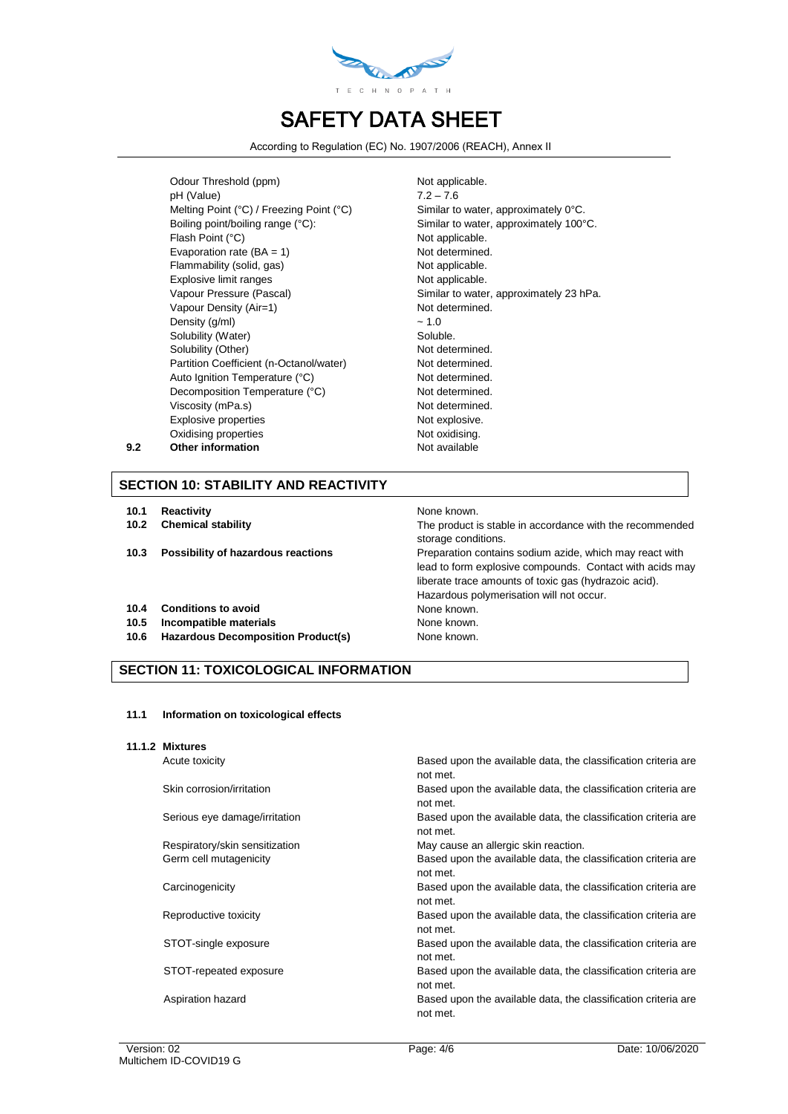

According to Regulation (EC) No. 1907/2006 (REACH), Annex II

Odour Threshold (ppm) Not applicable. pH (Value) 7.2 – 7.6 Melting Point (°C) / Freezing Point (°C) Similar to water, approximately 0°C. Boiling point/boiling range (°C): Similar to water, approximately 100°C. Flash Point (°C) Not applicable. Evaporation rate  $(BA = 1)$  Not determined. Flammability (solid, gas) Not applicable. Explosive limit ranges Not applicable. Vapour Pressure (Pascal) Similar to water, approximately 23 hPa. Vapour Density (Air=1) Not determined. Density  $(g/ml)$   $\sim 1.0$ Solubility (Water) Soluble. Solubility (Other) Not determined. Partition Coefficient (n-Octanol/water) Not determined. Auto Ignition Temperature (°C) Not determined. Decomposition Temperature (°C) Not determined. Viscosity (mPa.s) Not determined. Explosive properties Not explosive. Oxidising properties Not oxidising. **9.2 Other information Not available** 

## **SECTION 10: STABILITY AND REACTIVITY**

- **10.1 Reactivity None known.**
- 
- 

#### **10.4 Conditions to avoid** None known.

- **10.5 Incompatible materials** None known.
- **10.6 Hazardous Decomposition Product(s)** None known.

## **SECTION 11: TOXICOLOGICAL INFORMATION**

#### **11.1 Information on toxicological effects**

**11.1.2 Mixtures**

**10.2 Chemical stability** The product is stable in accordance with the recommended storage conditions. **10.3 Possibility of hazardous reactions Preparation contains sodium azide, which may react with** lead to form explosive compounds. Contact with acids may liberate trace amounts of toxic gas (hydrazoic acid). Hazardous polymerisation will not occur.

Acute toxicity Based upon the available data, the classification criteria are not met. Skin corrosion/irritation **Based upon the available data, the classification criteria are** Based upon the available data, the classification criteria are not met. Serious eye damage/irritation Based upon the available data, the classification criteria are not met. Respiratory/skin sensitization May cause an allergic skin reaction. Germ cell mutagenicity **Based upon the available data, the classification criteria are** not met. Carcinogenicity Based upon the available data, the classification criteria are not met. Reproductive toxicity **Based upon the available data, the classification criteria are** not met. STOT-single exposure **Based upon the available data, the classification criteria are** not met. STOT-repeated exposure Based upon the available data, the classification criteria are not met. Aspiration hazard **Based upon the available data, the classification criteria are** not met.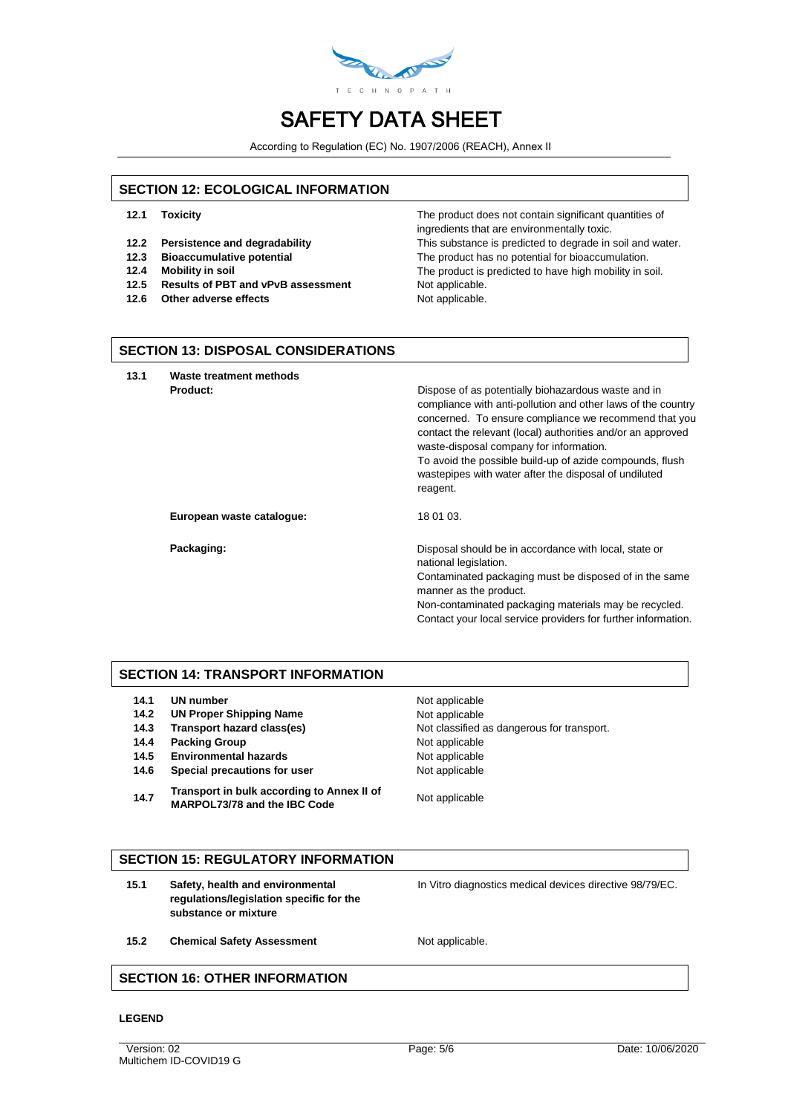

According to Regulation (EC) No. 1907/2006 (REACH), Annex II

### **SECTION 12: ECOLOGICAL INFORMATION**

- 
- 
- 
- 
- 12.5 **Results of PBT and vPvB assessment** Not applicable.
- **12.6** Other adverse effects Not applicable.

**12.1 Toxicity The product does not contain significant quantities of** The product does not contain significant quantities of ingredients that are environmentally toxic. **12.2 Persistence and degradability** This substance is predicted to degrade in soil and water. **12.3 Bioaccumulative potential** The product has no potential for bioaccumulation. **12.4 Mobility in soil The product is predicted to have high mobility in soil.** The product is predicted to have high mobility in soil.

#### **SECTION 13: DISPOSAL CONSIDERATIONS**

**13.1 Waste treatment methods**

**Product: Product: Product: Product: Product: Dispose of as potentially biohazardous waste and in** compliance with anti-pollution and other laws of the country concerned. To ensure compliance we recommend that you contact the relevant (local) authorities and/or an approved waste-disposal company for information.

To avoid the possible build-up of azide compounds, flush wastepipes with water after the disposal of undiluted reagent.

**European waste catalogue:** 18 01 03.

**Packaging: Packaging: Packaging: Disposal should be in accordance with local, state or** national legislation. Contaminated packaging must be disposed of in the same manner as the product. Non-contaminated packaging materials may be recycled. Contact your local service providers for further information.

### **SECTION 14: TRANSPORT INFORMATION**

- **14.1 UN number** Not applicable
- 14.2 **UN Proper Shipping Name** Not applicable
- 
- **14.4 Packing Group Not applicable**
- **14.5 Environmental hazards** Not applicable
- **14.6 Special precautions for user** Not applicable
- **14.7 Transport in bulk according to Annex II of MARPOL73/78 and the IBC Code** Not applicable

**14.3 Transport hazard class(es)** Not classified as dangerous for transport.

### **SECTION 15: REGULATORY INFORMATION**

**15.1 Safety, health and environmental regulations/legislation specific for the substance or mixture**

In Vitro diagnostics medical devices directive 98/79/EC.

15.2 **Chemical Safety Assessment** Not applicable.

## **SECTION 16: OTHER INFORMATION**

#### **LEGEND**